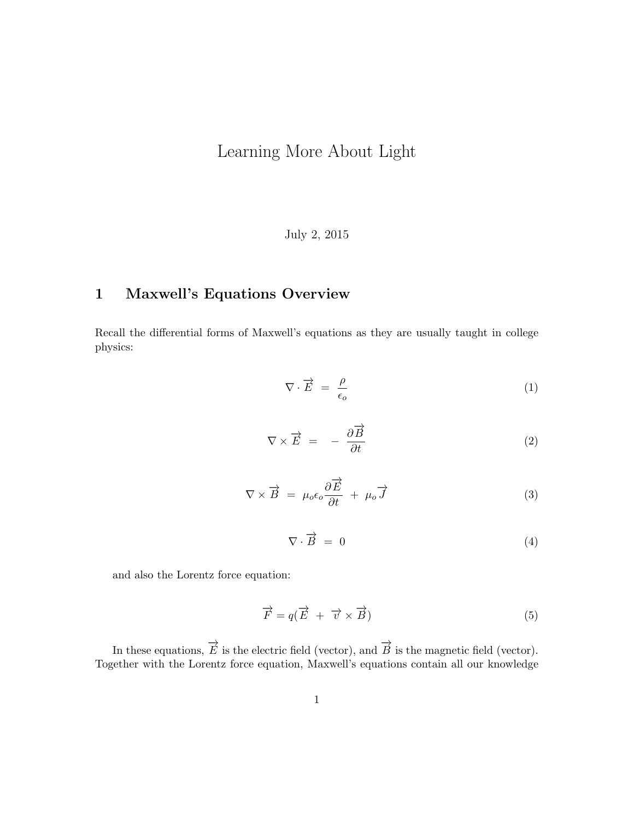# Learning More About Light

July 2, 2015

# 1 Maxwell's Equations Overview

Recall the differential forms of Maxwell's equations as they are usually taught in college physics:

$$
\nabla \cdot \vec{E} = \frac{\rho}{\epsilon_o} \tag{1}
$$

$$
\nabla \times \vec{E} = -\frac{\partial \vec{B}}{\partial t} \tag{2}
$$

$$
\nabla \times \vec{B} = \mu_o \epsilon_o \frac{\partial \vec{E}}{\partial t} + \mu_o \vec{J}
$$
 (3)

$$
\nabla \cdot \overrightarrow{B} = 0 \tag{4}
$$

and also the Lorentz force equation:

$$
\overrightarrow{F} = q(\overrightarrow{E} + \overrightarrow{v} \times \overrightarrow{B})
$$
\n(5)

In these equations,  $\overrightarrow{E}$  is the electric field (vector), and  $\overrightarrow{B}$  is the magnetic field (vector). Together with the Lorentz force equation, Maxwell's equations contain all our knowledge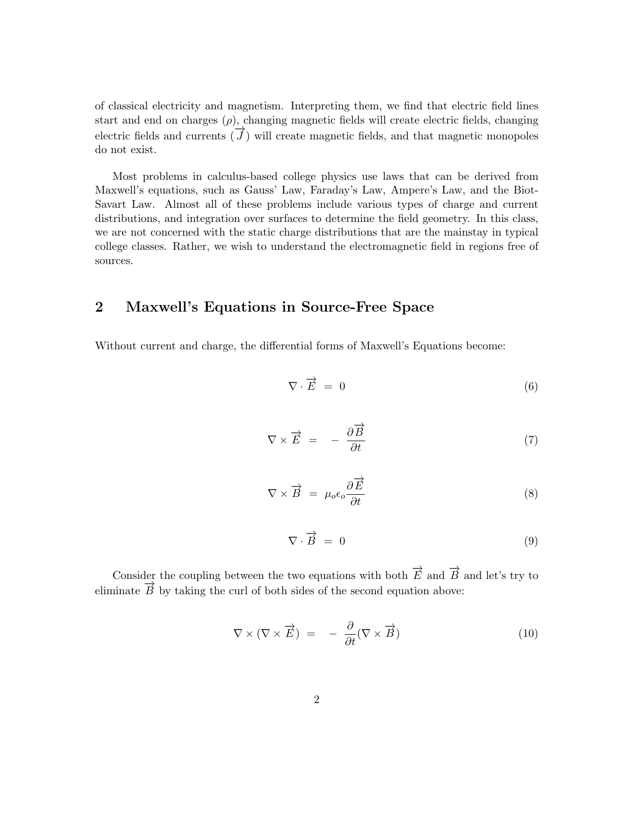of classical electricity and magnetism. Interpreting them, we find that electric field lines start and end on charges  $(\rho)$ , changing magnetic fields will create electric fields, changing electric fields and currents  $(\vec{J})$  will create magnetic fields, and that magnetic monopoles do not exist.

Most problems in calculus-based college physics use laws that can be derived from Maxwell's equations, such as Gauss' Law, Faraday's Law, Ampere's Law, and the Biot-Savart Law. Almost all of these problems include various types of charge and current distributions, and integration over surfaces to determine the field geometry. In this class, we are not concerned with the static charge distributions that are the mainstay in typical college classes. Rather, we wish to understand the electromagnetic field in regions free of sources.

# 2 Maxwell's Equations in Source-Free Space

Without current and charge, the differential forms of Maxwell's Equations become:

<span id="page-1-1"></span>
$$
\nabla \cdot \vec{E} = 0 \tag{6}
$$

$$
\nabla \times \vec{E} = -\frac{\partial \vec{B}}{\partial t} \tag{7}
$$

<span id="page-1-0"></span>
$$
\nabla \times \vec{B} = \mu_o \epsilon_o \frac{\partial \vec{E}}{\partial t}
$$
 (8)

$$
\nabla \cdot \overrightarrow{B} = 0 \tag{9}
$$

Consider the coupling between the two equations with both  $\overrightarrow{E}$  and  $\overrightarrow{B}$  and let's try to eliminate  $\overrightarrow{B}$  by taking the curl of both sides of the second equation above:

$$
\nabla \times (\nabla \times \vec{E}) = -\frac{\partial}{\partial t} (\nabla \times \vec{B}) \tag{10}
$$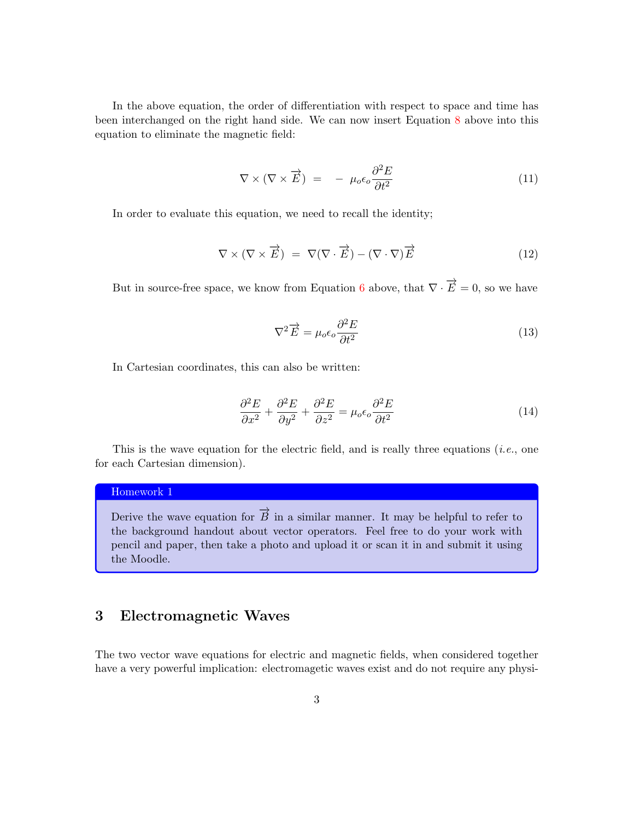In the above equation, the order of differentiation with respect to space and time has been interchanged on the right hand side. We can now insert Equation [8](#page-1-0) above into this equation to eliminate the magnetic field:

$$
\nabla \times (\nabla \times \vec{E}) = -\mu_0 \epsilon_0 \frac{\partial^2 E}{\partial t^2}
$$
 (11)

In order to evaluate this equation, we need to recall the identity;

$$
\nabla \times (\nabla \times \vec{E}) = \nabla (\nabla \cdot \vec{E}) - (\nabla \cdot \nabla) \vec{E}
$$
 (12)

But in source-free space, we know from Equation [6](#page-1-1) above, that  $\nabla \cdot \vec{E} = 0$ , so we have

<span id="page-2-0"></span>
$$
\nabla^2 \vec{E} = \mu_o \epsilon_o \frac{\partial^2 E}{\partial t^2}
$$
 (13)

In Cartesian coordinates, this can also be written:

<span id="page-2-1"></span>
$$
\frac{\partial^2 E}{\partial x^2} + \frac{\partial^2 E}{\partial y^2} + \frac{\partial^2 E}{\partial z^2} = \mu_o \epsilon_o \frac{\partial^2 E}{\partial t^2}
$$
 (14)

This is the wave equation for the electric field, and is really three equations (*i.e.*, one for each Cartesian dimension).

### Homework 1

Derive the wave equation for  $\overrightarrow{B}$  in a similar manner. It may be helpful to refer to the background handout about vector operators. Feel free to do your work with pencil and paper, then take a photo and upload it or scan it in and submit it using the Moodle.

## 3 Electromagnetic Waves

The two vector wave equations for electric and magnetic fields, when considered together have a very powerful implication: electromagetic waves exist and do not require any physi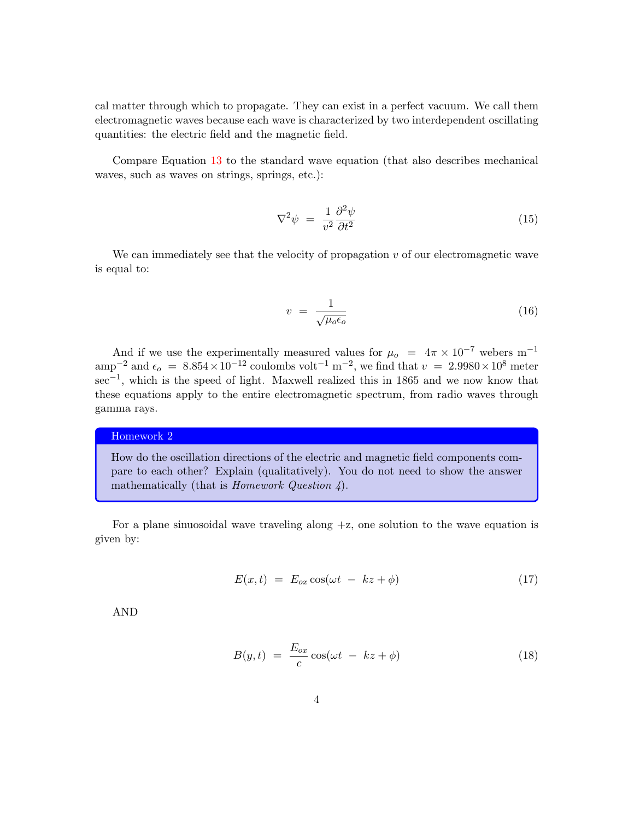cal matter through which to propagate. They can exist in a perfect vacuum. We call them electromagnetic waves because each wave is characterized by two interdependent oscillating quantities: the electric field and the magnetic field.

Compare Equation [13](#page-2-0) to the standard wave equation (that also describes mechanical waves, such as waves on strings, springs, etc.):

$$
\nabla^2 \psi = \frac{1}{v^2} \frac{\partial^2 \psi}{\partial t^2} \tag{15}
$$

We can immediately see that the velocity of propagation  $v$  of our electromagnetic wave is equal to:

$$
v = \frac{1}{\sqrt{\mu_o \epsilon_o}}\tag{16}
$$

And if we use the experimentally measured values for  $\mu_o = 4\pi \times 10^{-7}$  webers m<sup>-1</sup> amp<sup>-2</sup> and  $\epsilon_o = 8.854 \times 10^{-12}$  coulombs volt<sup>-1</sup> m<sup>-2</sup>, we find that  $v = 2.9980 \times 10^8$  meter sec<sup>-1</sup>, which is the speed of light. Maxwell realized this in 1865 and we now know that these equations apply to the entire electromagnetic spectrum, from radio waves through gamma rays.

#### Homework 2

How do the oscillation directions of the electric and magnetic field components compare to each other? Explain (qualitatively). You do not need to show the answer mathematically (that is *Homework Question 4*).

For a plane sinuosoidal wave traveling along  $+z$ , one solution to the wave equation is given by:

<span id="page-3-0"></span>
$$
E(x,t) = E_{ox} \cos(\omega t - kz + \phi) \tag{17}
$$

AND

$$
B(y,t) = \frac{E_{ox}}{c} \cos(\omega t - kz + \phi) \tag{18}
$$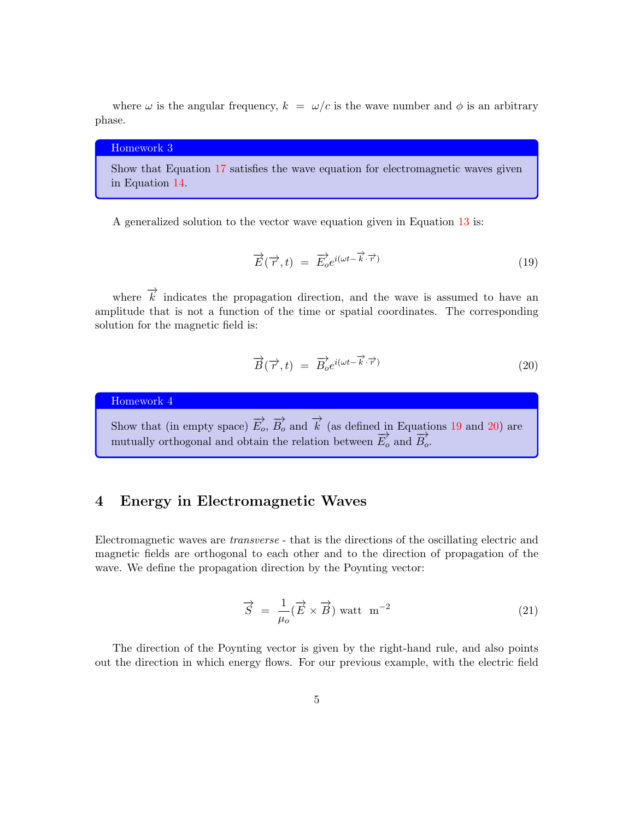where  $\omega$  is the angular frequency,  $k = \omega/c$  is the wave number and  $\phi$  is an arbitrary phase.

### Homework 3

Show that Equation [17](#page-3-0) satisfies the wave equation for electromagnetic waves given in Equation [14.](#page-2-1)

A generalized solution to the vector wave equation given in Equation [13](#page-2-0) is:

<span id="page-4-0"></span>
$$
\overrightarrow{E}(\overrightarrow{r},t) = \overrightarrow{E}_o e^{i(\omega t - \overrightarrow{k} \cdot \overrightarrow{r})}
$$
\n(19)

where  $\overrightarrow{k}$  indicates the propagation direction, and the wave is assumed to have an amplitude that is not a function of the time or spatial coordinates. The corresponding solution for the magnetic field is:

<span id="page-4-1"></span>
$$
\overrightarrow{B}(\overrightarrow{r},t) = \overrightarrow{B}_o e^{i(\omega t - \overrightarrow{k}\cdot\overrightarrow{r})}
$$
\n(20)

Homework 4

Show that (in empty space)  $\overrightarrow{E_o}$ ,  $\overrightarrow{B_o}$  and  $\overrightarrow{k}$  (as defined in Equations [19](#page-4-0) and [20\)](#page-4-1) are mutually orthogonal and obtain the relation between  $\overrightarrow{E_o}$  and  $\overrightarrow{B_o}$ .

### 4 Energy in Electromagnetic Waves

Electromagnetic waves are transverse - that is the directions of the oscillating electric and magnetic fields are orthogonal to each other and to the direction of propagation of the wave. We define the propagation direction by the Poynting vector:

$$
\vec{S} = \frac{1}{\mu_o} (\vec{E} \times \vec{B}) \text{ wat } \text{m}^{-2}
$$
 (21)

The direction of the Poynting vector is given by the right-hand rule, and also points out the direction in which energy flows. For our previous example, with the electric field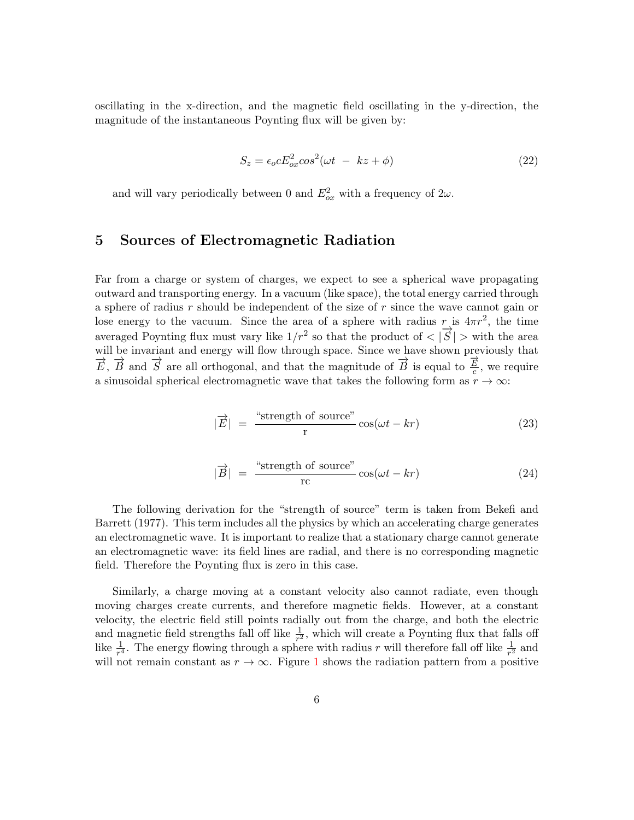oscillating in the x-direction, and the magnetic field oscillating in the y-direction, the magnitude of the instantaneous Poynting flux will be given by:

$$
S_z = \epsilon_o c E_{ox}^2 \cos^2(\omega t - kz + \phi) \tag{22}
$$

and will vary periodically between 0 and  $E_{ox}^2$  with a frequency of  $2\omega$ .

### 5 Sources of Electromagnetic Radiation

Far from a charge or system of charges, we expect to see a spherical wave propagating outward and transporting energy. In a vacuum (like space), the total energy carried through a sphere of radius r should be independent of the size of r since the wave cannot gain or lose energy to the vacuum. Since the area of a sphere with radius r is  $4\pi r^2$ , the time averaged Poynting flux must vary like  $1/r^2$  so that the product of  $\langle \vec{S} | \rangle$  with the area will be invariant and energy will flow through space. Since we have shown previously that  $\overrightarrow{E}$ ,  $\overrightarrow{B}$  and  $\overrightarrow{S}$  are all orthogonal, and that the magnitude of  $\overrightarrow{B}$  is equal to  $\frac{\overrightarrow{E}}{c}$  $\frac{E}{c}$ , we require a sinusoidal spherical electromagnetic wave that takes the following form as  $r \to \infty$ :

<span id="page-5-0"></span>
$$
|\vec{E}| = \frac{\text{``strength of source''}}{\text{r}} \cos(\omega t - kr) \tag{23}
$$

$$
|\vec{B}| = \frac{\text{``strength of source''}}{\text{rc}}\cos(\omega t - kr) \tag{24}
$$

The following derivation for the "strength of source" term is taken from Bekefi and Barrett (1977). This term includes all the physics by which an accelerating charge generates an electromagnetic wave. It is important to realize that a stationary charge cannot generate an electromagnetic wave: its field lines are radial, and there is no corresponding magnetic field. Therefore the Poynting flux is zero in this case.

Similarly, a charge moving at a constant velocity also cannot radiate, even though moving charges create currents, and therefore magnetic fields. However, at a constant velocity, the electric field still points radially out from the charge, and both the electric and magnetic field strengths fall off like  $\frac{1}{r^2}$ , which will create a Poynting flux that falls off like  $\frac{1}{r^4}$ . The energy flowing through a sphere with radius r will therefore fall off like  $\frac{1}{r^2}$  and will not remain constant as  $r \to \infty$ . Figure [1](#page-6-0) shows the radiation pattern from a positive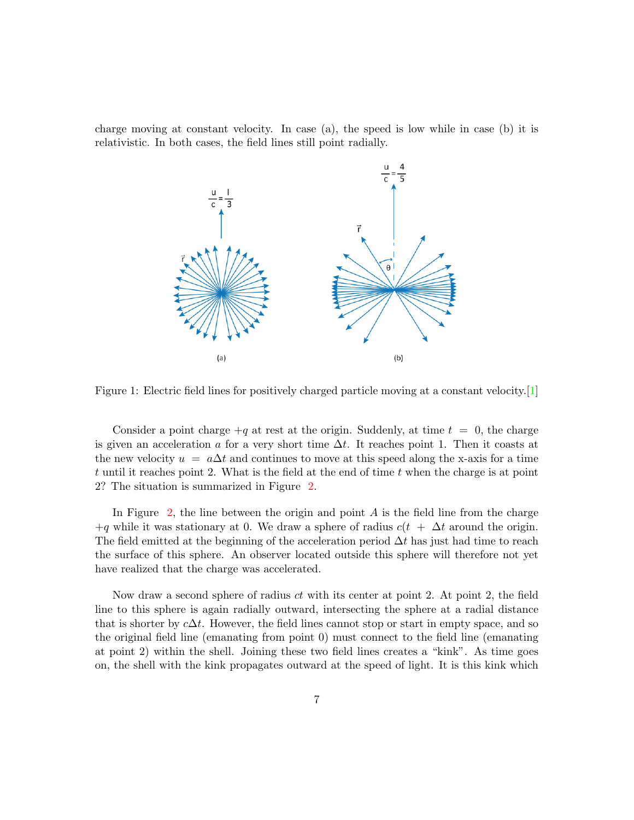charge moving at constant velocity. In case (a), the speed is low while in case (b) it is relativistic. In both cases, the field lines still point radially.



<span id="page-6-0"></span>Figure 1: Electric field lines for positively charged particle moving at a constant velocity.[\[1\]](#page-10-0)

Consider a point charge  $+q$  at rest at the origin. Suddenly, at time  $t = 0$ , the charge is given an acceleration a for a very short time  $\Delta t$ . It reaches point 1. Then it coasts at the new velocity  $u = a\Delta t$  and continues to move at this speed along the x-axis for a time t until it reaches point 2. What is the field at the end of time t when the charge is at point 2? The situation is summarized in Figure [2.](#page-7-0)

In Figure [2,](#page-7-0) the line between the origin and point  $A$  is the field line from the charge  $+q$  while it was stationary at 0. We draw a sphere of radius  $c(t + \Delta t)$  around the origin. The field emitted at the beginning of the acceleration period  $\Delta t$  has just had time to reach the surface of this sphere. An observer located outside this sphere will therefore not yet have realized that the charge was accelerated.

Now draw a second sphere of radius  $ct$  with its center at point 2. At point 2, the field line to this sphere is again radially outward, intersecting the sphere at a radial distance that is shorter by  $c\Delta t$ . However, the field lines cannot stop or start in empty space, and so the original field line (emanating from point 0) must connect to the field line (emanating at point 2) within the shell. Joining these two field lines creates a "kink". As time goes on, the shell with the kink propagates outward at the speed of light. It is this kink which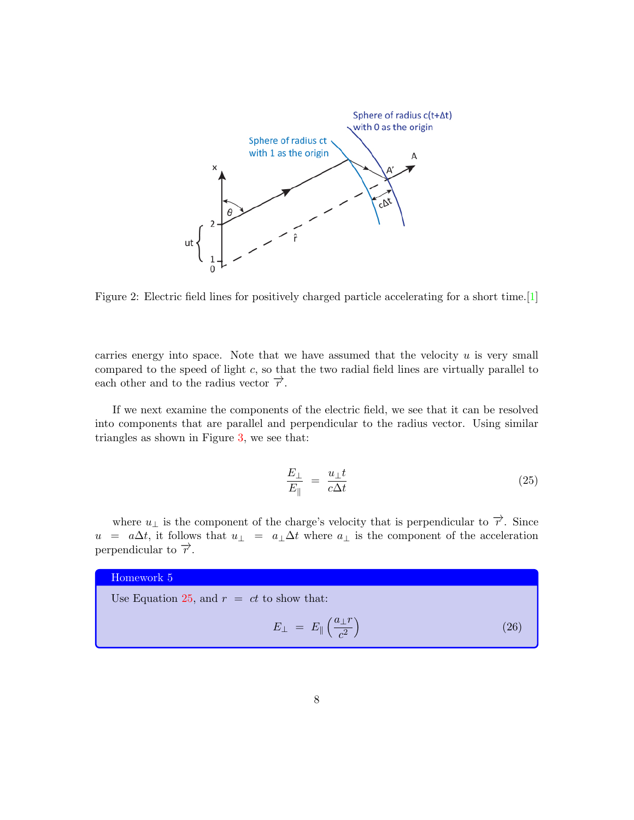

<span id="page-7-0"></span>Figure 2: Electric field lines for positively charged particle accelerating for a short time.[\[1\]](#page-10-0)

carries energy into space. Note that we have assumed that the velocity  $u$  is very small compared to the speed of light  $c$ , so that the two radial field lines are virtually parallel to each other and to the radius vector  $\vec{r}$ .

If we next examine the components of the electric field, we see that it can be resolved into components that are parallel and perpendicular to the radius vector. Using similar triangles as shown in Figure [3,](#page-8-0) we see that:

<span id="page-7-1"></span>
$$
\frac{E_{\perp}}{E_{\parallel}} = \frac{u_{\perp}t}{c\Delta t} \tag{25}
$$

where  $u_{\perp}$  is the component of the charge's velocity that is perpendicular to  $\vec{\tau}$ . Since  $u = a\Delta t$ , it follows that  $u_{\perp} = a_{\perp} \Delta t$  where  $a_{\perp}$  is the component of the acceleration perpendicular to  $\overrightarrow{r}$ .

#### Homework 5

Use Equation [25,](#page-7-1) and  $r = ct$  to show that:

<span id="page-7-2"></span>
$$
E_{\perp} = E_{\parallel} \left( \frac{a_{\perp} r}{c^2} \right) \tag{26}
$$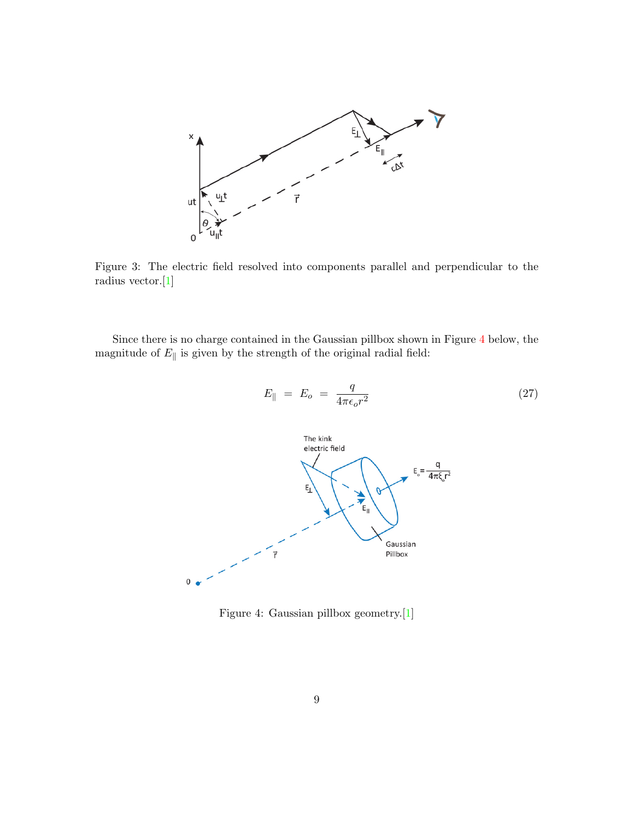

<span id="page-8-0"></span>Figure 3: The electric field resolved into components parallel and perpendicular to the radius vector.[\[1\]](#page-10-0)

Since there is no charge contained in the Gaussian pillbox shown in Figure [4](#page-8-1) below, the magnitude of  $E_{\parallel}$  is given by the strength of the original radial field:

<span id="page-8-2"></span>
$$
E_{\parallel} = E_o = \frac{q}{4\pi\epsilon_o r^2} \tag{27}
$$



<span id="page-8-1"></span>Figure 4: Gaussian pillbox geometry.[\[1\]](#page-10-0)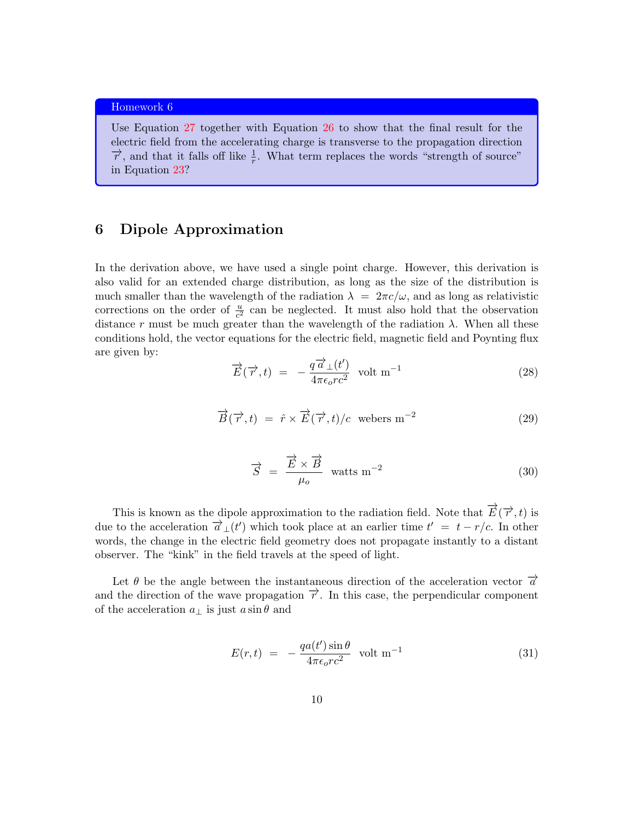#### Homework 6

Use Equation [27](#page-8-2) together with Equation [26](#page-7-2) to show that the final result for the electric field from the accelerating charge is transverse to the propagation direction  $\vec{r}$ , and that it falls off like  $\frac{1}{r}$ . What term replaces the words "strength of source" in Equation [23?](#page-5-0)

## 6 Dipole Approximation

In the derivation above, we have used a single point charge. However, this derivation is also valid for an extended charge distribution, as long as the size of the distribution is much smaller than the wavelength of the radiation  $\lambda = 2\pi c/\omega$ , and as long as relativistic corrections on the order of  $\frac{u}{c^2}$  can be neglected. It must also hold that the observation distance r must be much greater than the wavelength of the radiation  $\lambda$ . When all these conditions hold, the vector equations for the electric field, magnetic field and Poynting flux are given by:

$$
\overrightarrow{E}(\overrightarrow{r},t) = -\frac{q\overrightarrow{a}_{\perp}(t')}{4\pi\epsilon_o r c^2} \text{ volt m}^{-1}
$$
\n(28)

$$
\overrightarrow{B}(\overrightarrow{r},t) = \hat{r} \times \overrightarrow{E}(\overrightarrow{r},t)/c \text{ webers m}^{-2}
$$
\n(29)

$$
\vec{S} = \frac{\vec{E} \times \vec{B}}{\mu_o} \text{ watts m}^{-2}
$$
 (30)

This is known as the dipole approximation to the radiation field. Note that  $\overrightarrow{E}(\overrightarrow{r},t)$  is due to the acceleration  $\overrightarrow{a}_{\perp}(t')$  which took place at an earlier time  $t' = t - r/c$ . In other words, the change in the electric field geometry does not propagate instantly to a distant observer. The "kink" in the field travels at the speed of light.

Let  $\theta$  be the angle between the instantaneous direction of the acceleration vector  $\vec{a}$ and the direction of the wave propagation  $\vec{r}$ . In this case, the perpendicular component of the acceleration  $a_{\perp}$  is just  $a \sin \theta$  and

<span id="page-9-0"></span>
$$
E(r,t) = -\frac{qa(t')\sin\theta}{4\pi\epsilon_o r c^2} \text{ volt m}^{-1}
$$
 (31)